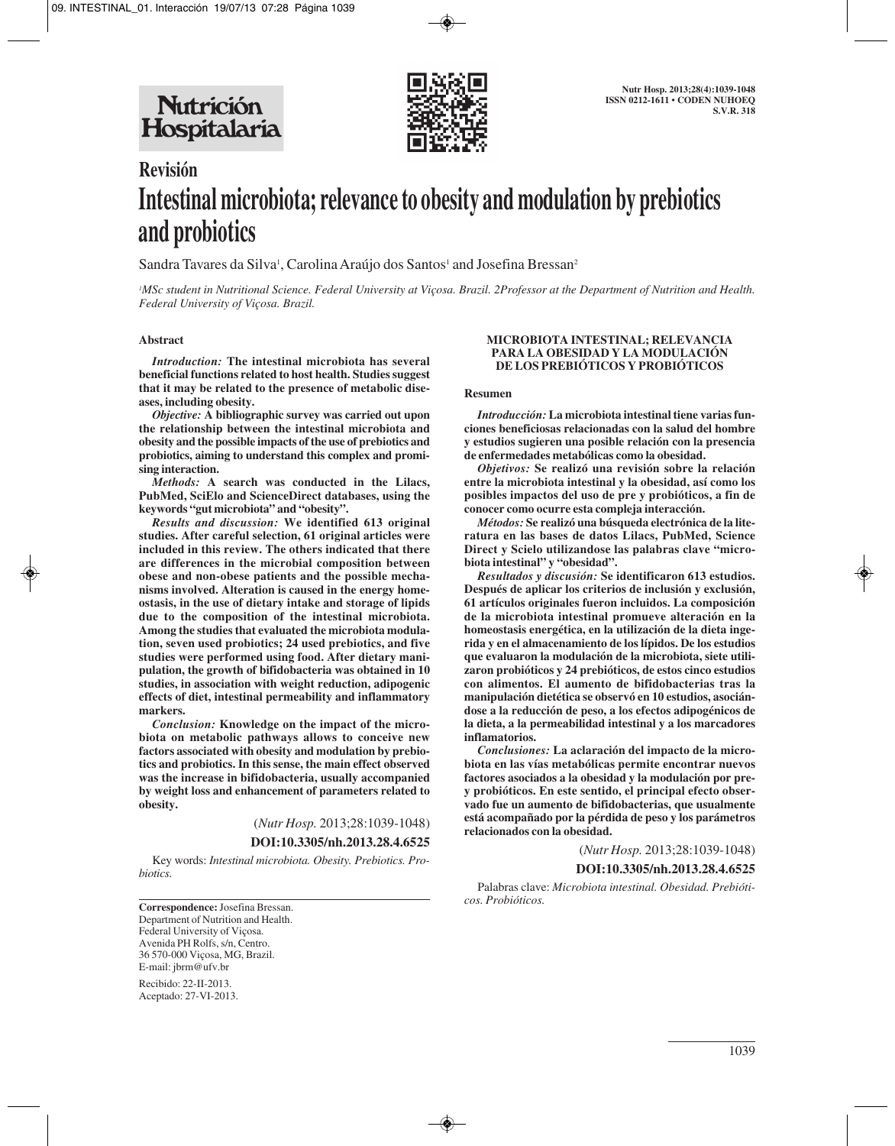

# **Revisión Intestinal microbiota; relevance to obesity and modulation by prebiotics and probiotics**

Sandra Tavares da Silva<sup>1</sup>, Carolina Araújo dos Santos<sup>1</sup> and Josefina Bressan<sup>2</sup>

*1 MSc student in Nutritional Science. Federal University at Viçosa. Brazil. 2Professor at the Department of Nutrition and Health. Federal University of Viçosa. Brazil.*

#### **Abstract**

*Introduction:* **The intestinal microbiota has several beneficial functions related to host health. Studies suggest that it may be related to the presence of metabolic diseases, including obesity.** 

*Objective:* **A bibliographic survey was carried out upon the relationship between the intestinal microbiota and obesity and the possible impacts of the use of prebiotics and probiotics, aiming to understand this complex and promising interaction.** 

*Methods:* **A search was conducted in the Lilacs, PubMed, SciElo and ScienceDirect databases, using the keywords "gut microbiota" and "obesity".** 

*Results and discussion:* **We identified 613 original studies. After careful selection, 61 original articles were included in this review. The others indicated that there are differences in the microbial composition between obese and non-obese patients and the possible mechanisms involved. Alteration is caused in the energy homeostasis, in the use of dietary intake and storage of lipids due to the composition of the intestinal microbiota. Among the studies that evaluated the microbiota modulation, seven used probiotics; 24 used prebiotics, and five studies were performed using food. After dietary manipulation, the growth of bifidobacteria was obtained in 10 studies, in association with weight reduction, adipogenic effects of diet, intestinal permeability and inflammatory markers.** 

*Conclusion:* **Knowledge on the impact of the microbiota on metabolic pathways allows to conceive new factors associated with obesity and modulation by prebiotics and probiotics. In this sense, the main effect observed was the increase in bifidobacteria, usually accompanied by weight loss and enhancement of parameters related to obesity.**

(*Nutr Hosp.* 2013;28:1039-1048)

**DOI:10.3305/nh.2013.28.4.6525**

Key words: *Intestinal microbiota. Obesity. Prebiotics. Probiotics.*

**Correspondence:** Josefina Bressan. Department of Nutrition and Health. Federal University of Viçosa. Avenida PH Rolfs, s/n, Centro. 36 570-000 Viçosa, MG, Brazil. E-mail: jbrm@ufv.br

Recibido: 22-II-2013. Aceptado: 27-VI-2013.

#### **MICROBIOTA INTESTINAL; RELEVANCIA PARA LA OBESIDAD Y LA MODULACIÓN DE LOS PREBIÓTICOS Y PROBIÓTICOS**

#### **Resumen**

*Introducción:* **La microbiota intestinal tiene varias funciones beneficiosas relacionadas con la salud del hombre y estudios sugieren una posible relación con la presencia de enfermedades metabólicas como la obesidad.** 

*Objetivos:* **Se realizó una revisión sobre la relación entre la microbiota intestinal y la obesidad, así como los posibles impactos del uso de pre y probióticos, a fin de conocer como ocurre esta compleja interacción.** 

*Métodos:* **Se realizó una búsqueda electrónica de la literatura en las bases de datos Lilacs, PubMed, Science Direct y Scielo utilizandose las palabras clave "microbiota intestinal" y "obesidad".** 

*Resultados y discusión:* **Se identificaron 613 estudios. Después de aplicar los criterios de inclusión y exclusión, 61 artículos originales fueron incluidos. La composición de la microbiota intestinal promueve alteración en la homeostasis energética, en la utilización de la dieta ingerida y en el almacenamiento de los lípidos. De los estudios que evaluaron la modulación de la microbiota, siete utilizaron probióticos y 24 prebióticos, de estos cinco estudios con alimentos. El aumento de bifidobacterias tras la manipulación dietética se observó en 10 estudios, asociándose a la reducción de peso, a los efectos adipogénicos de la dieta, a la permeabilidad intestinal y a los marcadores inflamatorios.** 

*Conclusiones:* **La aclaración del impacto de la microbiota en las vías metabólicas permite encontrar nuevos factores asociados a la obesidad y la modulación por prey probióticos. En este sentido, el principal efecto observado fue un aumento de bifidobacterias, que usualmente está acompañado por la pérdida de peso y los parámetros relacionados con la obesidad.**

> (*Nutr Hosp.* 2013;28:1039-1048) **DOI:10.3305/nh.2013.28.4.6525**

Palabras clave: *Microbiota intestinal. Obesidad. Prebióticos. Probióticos.*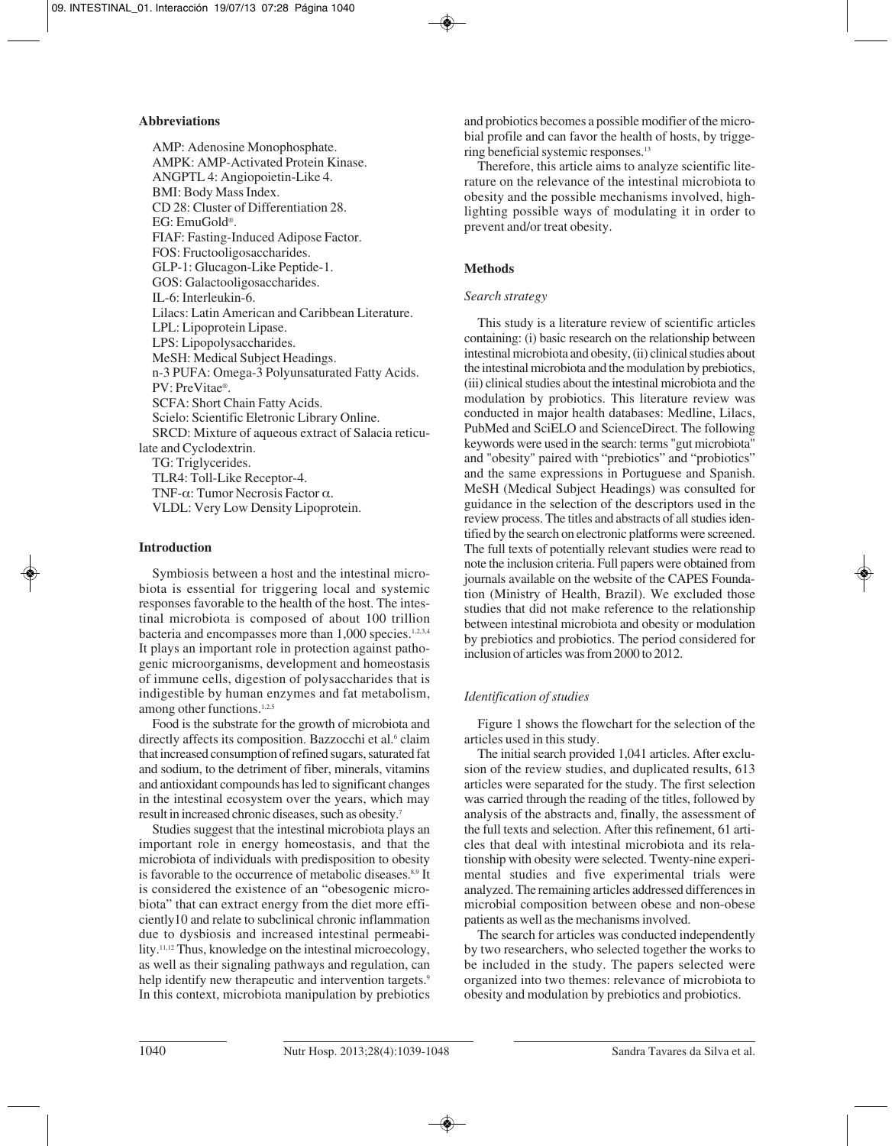## **Abbreviations**

AMP: Adenosine Monophosphate. AMPK: AMP-Activated Protein Kinase. ANGPTL 4: Angiopoietin-Like 4. BMI: Body Mass Index. CD 28: Cluster of Differentiation 28. EG: EmuGold®. FIAF: Fasting-Induced Adipose Factor. FOS: Fructooligosaccharides. GLP-1: Glucagon-Like Peptide-1. GOS: Galactooligosaccharides. IL-6: Interleukin-6. Lilacs: Latin American and Caribbean Literature. LPL: Lipoprotein Lipase. LPS: Lipopolysaccharides. MeSH: Medical Subject Headings. n-3 PUFA: Omega-3 Polyunsaturated Fatty Acids. PV: PreVitae®. SCFA: Short Chain Fatty Acids. Scielo: Scientific Eletronic Library Online. SRCD: Mixture of aqueous extract of Salacia reticulate and Cyclodextrin. TG: Triglycerides. TLR4: Toll-Like Receptor-4. TNF-α: Tumor Necrosis Factor α. VLDL: Very Low Density Lipoprotein.

## **Introduction**

Symbiosis between a host and the intestinal microbiota is essential for triggering local and systemic responses favorable to the health of the host. The intestinal microbiota is composed of about 100 trillion bacteria and encompasses more than 1,000 species.<sup>1,2,3,4</sup> It plays an important role in protection against pathogenic microorganisms, development and homeostasis of immune cells, digestion of polysaccharides that is indigestible by human enzymes and fat metabolism, among other functions.1,2,5

Food is the substrate for the growth of microbiota and directly affects its composition. Bazzocchi et al.<sup>6</sup> claim that increased consumption of refined sugars, saturated fat and sodium, to the detriment of fiber, minerals, vitamins and antioxidant compounds has led to significant changes in the intestinal ecosystem over the years, which may result in increased chronic diseases, such as obesity.7

Studies suggest that the intestinal microbiota plays an important role in energy homeostasis, and that the microbiota of individuals with predisposition to obesity is favorable to the occurrence of metabolic diseases.<sup>8,9</sup> It is considered the existence of an "obesogenic microbiota" that can extract energy from the diet more efficiently10 and relate to subclinical chronic inflammation due to dysbiosis and increased intestinal permeability.11,12 Thus, knowledge on the intestinal microecology, as well as their signaling pathways and regulation, can help identify new therapeutic and intervention targets.<sup>9</sup> In this context, microbiota manipulation by prebiotics

and probiotics becomes a possible modifier of the microbial profile and can favor the health of hosts, by triggering beneficial systemic responses.13

Therefore, this article aims to analyze scientific literature on the relevance of the intestinal microbiota to obesity and the possible mechanisms involved, highlighting possible ways of modulating it in order to prevent and/or treat obesity.

## **Methods**

## *Search strategy*

This study is a literature review of scientific articles containing: (i) basic research on the relationship between intestinal microbiota and obesity, (ii) clinical studies about the intestinal microbiota and the modulation by prebiotics, (iii) clinical studies about the intestinal microbiota and the modulation by probiotics. This literature review was conducted in major health databases: Medline, Lilacs, PubMed and SciELO and ScienceDirect. The following keywords were used in the search: terms "gut microbiota" and "obesity" paired with "prebiotics" and "probiotics" and the same expressions in Portuguese and Spanish. MeSH (Medical Subject Headings) was consulted for guidance in the selection of the descriptors used in the review process. The titles and abstracts of all studies identified by the search on electronic platforms were screened. The full texts of potentially relevant studies were read to note the inclusion criteria. Full papers were obtained from journals available on the website of the CAPES Foundation (Ministry of Health, Brazil). We excluded those studies that did not make reference to the relationship between intestinal microbiota and obesity or modulation by prebiotics and probiotics. The period considered for inclusion of articles was from 2000 to 2012.

# *Identification of studies*

Figure 1 shows the flowchart for the selection of the articles used in this study.

The initial search provided 1,041 articles. After exclusion of the review studies, and duplicated results, 613 articles were separated for the study. The first selection was carried through the reading of the titles, followed by analysis of the abstracts and, finally, the assessment of the full texts and selection. After this refinement, 61 articles that deal with intestinal microbiota and its relationship with obesity were selected. Twenty-nine experimental studies and five experimental trials were analyzed. The remaining articles addressed differences in microbial composition between obese and non-obese patients as well as the mechanisms involved.

The search for articles was conducted independently by two researchers, who selected together the works to be included in the study. The papers selected were organized into two themes: relevance of microbiota to obesity and modulation by prebiotics and probiotics.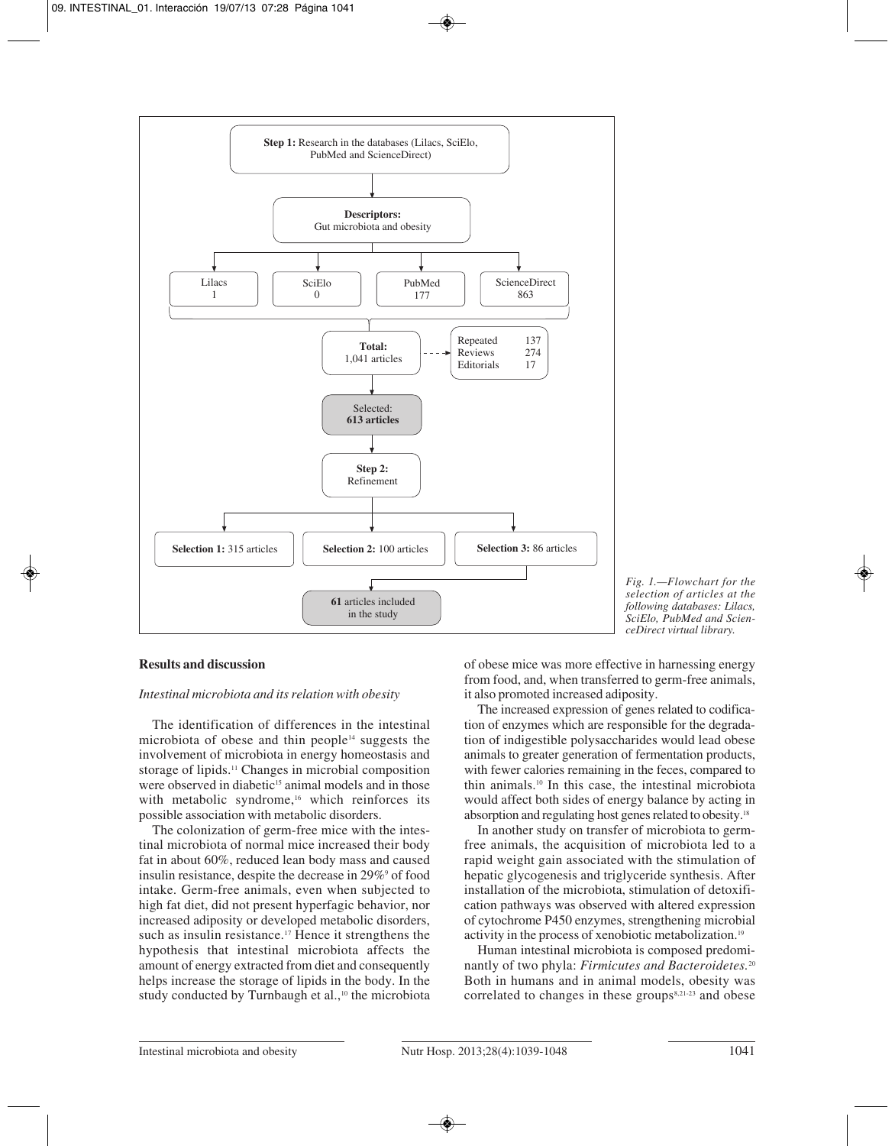

*Fig. 1.—Flowchart for the selection of articles at the following databases: Lilacs, SciElo, PubMed and ScienceDirect virtual library.*

## **Results and discussion**

## *Intestinal microbiota and its relation with obesity*

The identification of differences in the intestinal microbiota of obese and thin people<sup>14</sup> suggests the involvement of microbiota in energy homeostasis and storage of lipids.11 Changes in microbial composition were observed in diabetic<sup>15</sup> animal models and in those with metabolic syndrome,<sup>16</sup> which reinforces its possible association with metabolic disorders.

The colonization of germ-free mice with the intestinal microbiota of normal mice increased their body fat in about 60%, reduced lean body mass and caused insulin resistance, despite the decrease in 29%<sup>9</sup> of food intake. Germ-free animals, even when subjected to high fat diet, did not present hyperfagic behavior, nor increased adiposity or developed metabolic disorders, such as insulin resistance.<sup>17</sup> Hence it strengthens the hypothesis that intestinal microbiota affects the amount of energy extracted from diet and consequently helps increase the storage of lipids in the body. In the study conducted by Turnbaugh et al.,<sup>10</sup> the microbiota of obese mice was more effective in harnessing energy from food, and, when transferred to germ-free animals, it also promoted increased adiposity.

The increased expression of genes related to codification of enzymes which are responsible for the degradation of indigestible polysaccharides would lead obese animals to greater generation of fermentation products, with fewer calories remaining in the feces, compared to thin animals.10 In this case, the intestinal microbiota would affect both sides of energy balance by acting in absorption and regulating host genes related to obesity.18

In another study on transfer of microbiota to germfree animals, the acquisition of microbiota led to a rapid weight gain associated with the stimulation of hepatic glycogenesis and triglyceride synthesis. After installation of the microbiota, stimulation of detoxification pathways was observed with altered expression of cytochrome P450 enzymes, strengthening microbial activity in the process of xenobiotic metabolization.19

Human intestinal microbiota is composed predominantly of two phyla: *Firmicutes and Bacteroidetes.*<sup>20</sup> Both in humans and in animal models, obesity was correlated to changes in these groups $8,21-23$  and obese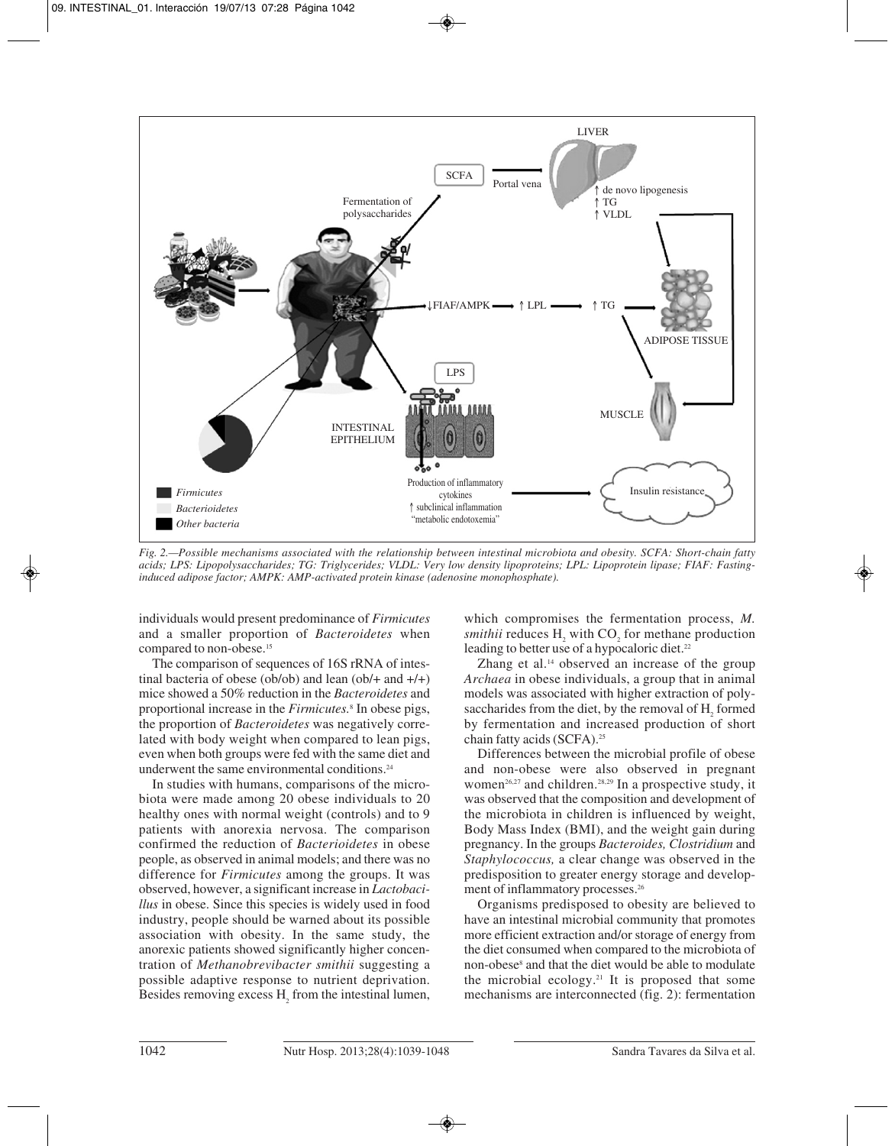

*Fig. 2.—Possible mechanisms associated with the relationship between intestinal microbiota and obesity. SCFA: Short-chain fatty acids; LPS: Lipopolysaccharides; TG: Triglycerides; VLDL: Very low density lipoproteins; LPL: Lipoprotein lipase; FIAF: Fastinginduced adipose factor; AMPK: AMP-activated protein kinase (adenosine monophosphate).*

individuals would present predominance of *Firmicutes* and a smaller proportion of *Bacteroidetes* when compared to non-obese.<sup>15</sup>

The comparison of sequences of 16S rRNA of intestinal bacteria of obese (ob/ob) and lean (ob/ $+$  and  $+$ / $+$ ) mice showed a 50% reduction in the *Bacteroidetes* and proportional increase in the *Firmicutes.*<sup>8</sup> In obese pigs, the proportion of *Bacteroidetes* was negatively correlated with body weight when compared to lean pigs, even when both groups were fed with the same diet and underwent the same environmental conditions.<sup>24</sup>

In studies with humans, comparisons of the microbiota were made among 20 obese individuals to 20 healthy ones with normal weight (controls) and to 9 patients with anorexia nervosa. The comparison confirmed the reduction of *Bacterioidetes* in obese people, as observed in animal models; and there was no difference for *Firmicutes* among the groups. It was observed, however, a significant increase in *Lactobacillus* in obese. Since this species is widely used in food industry, people should be warned about its possible association with obesity. In the same study, the anorexic patients showed significantly higher concentration of *Methanobrevibacter smithii* suggesting a possible adaptive response to nutrient deprivation. Besides removing excess H<sub>2</sub> from the intestinal lumen, which compromises the fermentation process, *M. smithii* reduces H<sub>2</sub> with CO<sub>2</sub> for methane production leading to better use of a hypocaloric diet.<sup>22</sup>

Zhang et al.<sup>14</sup> observed an increase of the group *Archaea* in obese individuals, a group that in animal models was associated with higher extraction of polysaccharides from the diet, by the removal of H<sub>2</sub> formed by fermentation and increased production of short chain fatty acids (SCFA).25

Differences between the microbial profile of obese and non-obese were also observed in pregnant women<sup>26,27</sup> and children.<sup>28,29</sup> In a prospective study, it was observed that the composition and development of the microbiota in children is influenced by weight, Body Mass Index (BMI), and the weight gain during pregnancy. In the groups *Bacteroides, Clostridium* and *Staphylococcus,* a clear change was observed in the predisposition to greater energy storage and development of inflammatory processes.26

Organisms predisposed to obesity are believed to have an intestinal microbial community that promotes more efficient extraction and/or storage of energy from the diet consumed when compared to the microbiota of non-obese8 and that the diet would be able to modulate the microbial ecology.21 It is proposed that some mechanisms are interconnected (fig. 2): fermentation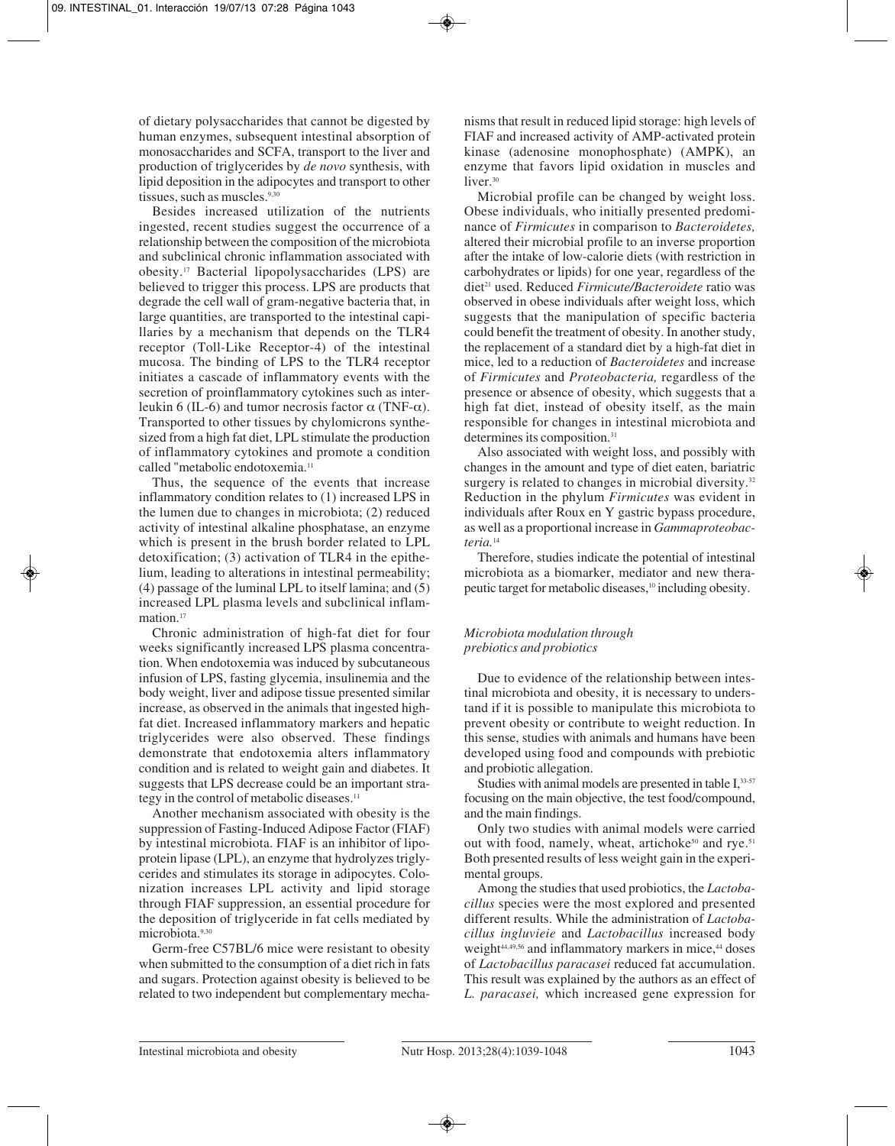of dietary polysaccharides that cannot be digested by human enzymes, subsequent intestinal absorption of monosaccharides and SCFA, transport to the liver and production of triglycerides by *de novo* synthesis, with lipid deposition in the adipocytes and transport to other tissues, such as muscles.<sup>9,30</sup>

Besides increased utilization of the nutrients ingested, recent studies suggest the occurrence of a relationship between the composition of the microbiota and subclinical chronic inflammation associated with obesity.17 Bacterial lipopolysaccharides (LPS) are believed to trigger this process. LPS are products that degrade the cell wall of gram-negative bacteria that, in large quantities, are transported to the intestinal capillaries by a mechanism that depends on the TLR4 receptor (Toll-Like Receptor-4) of the intestinal mucosa. The binding of LPS to the TLR4 receptor initiates a cascade of inflammatory events with the secretion of proinflammatory cytokines such as interleukin 6 (IL-6) and tumor necrosis factor  $\alpha$  (TNF-α). Transported to other tissues by chylomicrons synthesized from a high fat diet, LPL stimulate the production of inflammatory cytokines and promote a condition called "metabolic endotoxemia.<sup>11</sup>

Thus, the sequence of the events that increase inflammatory condition relates to (1) increased LPS in the lumen due to changes in microbiota; (2) reduced activity of intestinal alkaline phosphatase, an enzyme which is present in the brush border related to LPL detoxification; (3) activation of TLR4 in the epithelium, leading to alterations in intestinal permeability; (4) passage of the luminal LPL to itself lamina; and (5) increased LPL plasma levels and subclinical inflammation.<sup>17</sup>

Chronic administration of high-fat diet for four weeks significantly increased LPS plasma concentration. When endotoxemia was induced by subcutaneous infusion of LPS, fasting glycemia, insulinemia and the body weight, liver and adipose tissue presented similar increase, as observed in the animals that ingested highfat diet. Increased inflammatory markers and hepatic triglycerides were also observed. These findings demonstrate that endotoxemia alters inflammatory condition and is related to weight gain and diabetes. It suggests that LPS decrease could be an important strategy in the control of metabolic diseases.<sup>11</sup>

Another mechanism associated with obesity is the suppression of Fasting-Induced Adipose Factor (FIAF) by intestinal microbiota. FIAF is an inhibitor of lipoprotein lipase (LPL), an enzyme that hydrolyzes triglycerides and stimulates its storage in adipocytes. Colonization increases LPL activity and lipid storage through FIAF suppression, an essential procedure for the deposition of triglyceride in fat cells mediated by microbiota.9,30

Germ-free C57BL/6 mice were resistant to obesity when submitted to the consumption of a diet rich in fats and sugars. Protection against obesity is believed to be related to two independent but complementary mechanisms that result in reduced lipid storage: high levels of FIAF and increased activity of AMP-activated protein kinase (adenosine monophosphate) (AMPK), an enzyme that favors lipid oxidation in muscles and liver.<sup>30</sup>

Microbial profile can be changed by weight loss. Obese individuals, who initially presented predominance of *Firmicutes* in comparison to *Bacteroidetes,* altered their microbial profile to an inverse proportion after the intake of low-calorie diets (with restriction in carbohydrates or lipids) for one year, regardless of the diet21 used. Reduced *Firmicute/Bacteroidete* ratio was observed in obese individuals after weight loss, which suggests that the manipulation of specific bacteria could benefit the treatment of obesity. In another study, the replacement of a standard diet by a high-fat diet in mice, led to a reduction of *Bacteroidetes* and increase of *Firmicutes* and *Proteobacteria,* regardless of the presence or absence of obesity, which suggests that a high fat diet, instead of obesity itself, as the main responsible for changes in intestinal microbiota and determines its composition.<sup>31</sup>

Also associated with weight loss, and possibly with changes in the amount and type of diet eaten, bariatric surgery is related to changes in microbial diversity.<sup>32</sup> Reduction in the phylum *Firmicutes* was evident in individuals after Roux en Y gastric bypass procedure, as well as a proportional increase in *Gammaproteobacteria.*<sup>14</sup>

Therefore, studies indicate the potential of intestinal microbiota as a biomarker, mediator and new therapeutic target for metabolic diseases,10 including obesity.

## *Microbiota modulation through prebiotics and probiotics*

Due to evidence of the relationship between intestinal microbiota and obesity, it is necessary to understand if it is possible to manipulate this microbiota to prevent obesity or contribute to weight reduction. In this sense, studies with animals and humans have been developed using food and compounds with prebiotic and probiotic allegation.

Studies with animal models are presented in table I, 33-57 focusing on the main objective, the test food/compound, and the main findings.

Only two studies with animal models were carried out with food, namely, wheat, artichoke<sup>50</sup> and rye.<sup>51</sup> Both presented results of less weight gain in the experimental groups.

Among the studies that used probiotics, the *Lactobacillus* species were the most explored and presented different results. While the administration of *Lactobacillus ingluvieie* and *Lactobacillus* increased body weight<sup>44,49,56</sup> and inflammatory markers in mice,<sup>44</sup> doses of *Lactobacillus paracasei* reduced fat accumulation. This result was explained by the authors as an effect of *L. paracasei,* which increased gene expression for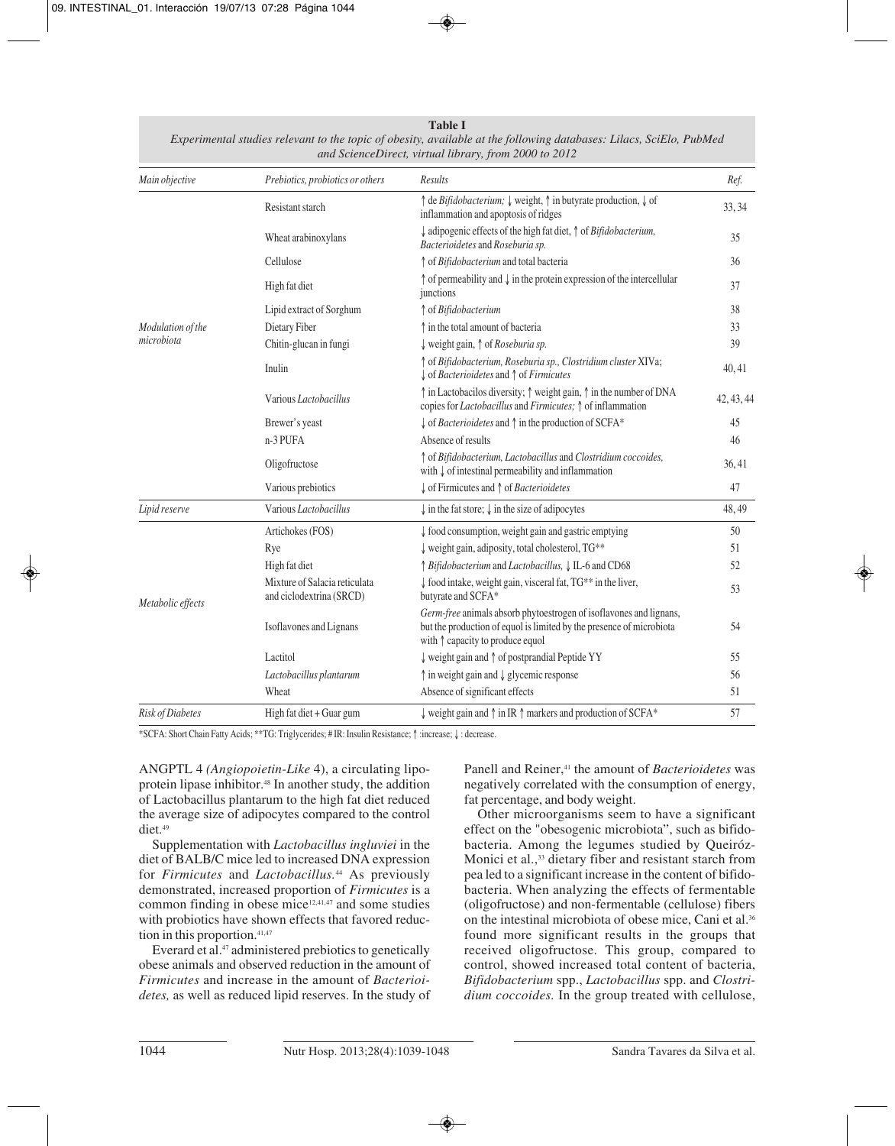### **Table I**

| Main objective                  | Prebiotics, probiotics or others                          | Results                                                                                                                                                                                 | Ref.       |
|---------------------------------|-----------------------------------------------------------|-----------------------------------------------------------------------------------------------------------------------------------------------------------------------------------------|------------|
| Modulation of the<br>microbiota | Resistant starch                                          | ↑ de Bifidobacterium; ↓ weight, ↑ in butyrate production, ↓ of<br>inflammation and apoptosis of ridges                                                                                  | 33, 34     |
|                                 | Wheat arabinoxylans                                       | $\downarrow$ adipogenic effects of the high fat diet, $\uparrow$ of <i>Bifidobacterium</i> ,<br>Bacterioidetes and Roseburia sp.                                                        | 35         |
|                                 | Cellulose                                                 | ↑ of Bifidobacterium and total bacteria                                                                                                                                                 | 36         |
|                                 | High fat diet                                             | $\uparrow$ of permeability and $\downarrow$ in the protein expression of the intercellular<br>junctions                                                                                 | 37         |
|                                 | Lipid extract of Sorghum                                  | ↑ of Bifidobacterium                                                                                                                                                                    | 38         |
|                                 | Dietary Fiber                                             | t in the total amount of bacteria                                                                                                                                                       | 33         |
|                                 | Chitin-glucan in fungi                                    | weight gain, $\uparrow$ of <i>Roseburia sp.</i>                                                                                                                                         | 39         |
|                                 | Inulin                                                    | ↑ of Bifidobacterium, Roseburia sp., Clostridium cluster XIVa;<br>$\downarrow$ of Bacterioidetes and $\uparrow$ of Firmicutes                                                           | 40, 41     |
|                                 | Various Lactobacillus                                     | ↑ in Lactobacilos diversity; ↑ weight gain, ↑ in the number of DNA<br>copies for <i>Lactobacillus</i> and <i>Firmicutes</i> ; $\uparrow$ of inflammation                                | 42, 43, 44 |
|                                 | Brewer's yeast                                            | $\downarrow$ of <i>Bacterioidetes</i> and $\uparrow$ in the production of SCFA*                                                                                                         | 45         |
|                                 | $n-3$ PUFA                                                | Absence of results                                                                                                                                                                      | 46         |
|                                 | Oligofructose                                             | ↑ of Bifidobacterium, Lactobacillus and Clostridium coccoides,<br>with $\downarrow$ of intestinal permeability and inflammation                                                         | 36,41      |
|                                 | Various prebiotics                                        | $\downarrow$ of Firmicutes and $\uparrow$ of <i>Bacterioidetes</i>                                                                                                                      | 47         |
| Lipid reserve                   | Various Lactobacillus                                     | $\downarrow$ in the fat store; $\downarrow$ in the size of adipocytes                                                                                                                   | 48,49      |
| Metabolic effects               | Artichokes (FOS)                                          | ↓ food consumption, weight gain and gastric emptying                                                                                                                                    | 50         |
|                                 | Rye                                                       | $\downarrow$ weight gain, adiposity, total cholesterol, TG**                                                                                                                            | 51         |
|                                 | High fat diet                                             | ↑ Bifidobacterium and Lactobacillus, ↓ IL-6 and CD68                                                                                                                                    | 52         |
|                                 | Mixture of Salacia reticulata<br>and ciclodextrina (SRCD) | $\downarrow$ food intake, weight gain, visceral fat, TG <sup>**</sup> in the liver,<br>butyrate and SCFA*                                                                               | 53         |
|                                 | Isoflavones and Lignans                                   | Germ-free animals absorb phytoestrogen of isoflavones and lignans,<br>but the production of equol is limited by the presence of microbiota<br>with $\uparrow$ capacity to produce equol | 54         |
|                                 | Lactitol                                                  | ↓ weight gain and ↑ of postprandial Peptide YY                                                                                                                                          | 55         |
|                                 | Lactobacillus plantarum                                   | $\uparrow$ in weight gain and $\downarrow$ glycemic response                                                                                                                            | 56         |
|                                 | Wheat                                                     | Absence of significant effects                                                                                                                                                          | 51         |
| Risk of Diabetes                | High fat diet + Guar gum                                  | $\downarrow$ weight gain and $\uparrow$ in IR $\uparrow$ markers and production of SCFA*                                                                                                | 57         |

*Experimental studies relevant to the topic of obesity, available at the following databases: Lilacs, SciElo, PubMed and ScienceDirect, virtual library, from 2000 to 2012*

\*SCFA: Short Chain Fatty Acids; \*\*TG: Triglycerides; # IR: Insulin Resistance; ↑ :increase; ↓ : decrease.

ANGPTL 4 *(Angiopoietin-Like* 4), a circulating lipoprotein lipase inhibitor.48 In another study, the addition of Lactobacillus plantarum to the high fat diet reduced the average size of adipocytes compared to the control diet.<sup>49</sup>

Supplementation with *Lactobacillus ingluviei* in the diet of BALB/C mice led to increased DNA expression for *Firmicutes* and *Lactobacillus.*<sup>44</sup> As previously demonstrated, increased proportion of *Firmicutes* is a common finding in obese mice<sup>12,41,47</sup> and some studies with probiotics have shown effects that favored reduction in this proportion.<sup>41,47</sup>

Everard et al.<sup>47</sup> administered prebiotics to genetically obese animals and observed reduction in the amount of *Firmicutes* and increase in the amount of *Bacterioidetes,* as well as reduced lipid reserves. In the study of

Panell and Reiner,<sup>41</sup> the amount of *Bacterioidetes* was negatively correlated with the consumption of energy, fat percentage, and body weight.

Other microorganisms seem to have a significant effect on the "obesogenic microbiota", such as bifidobacteria. Among the legumes studied by Queiróz-Monici et al.,<sup>33</sup> dietary fiber and resistant starch from pea led to a significant increase in the content of bifidobacteria. When analyzing the effects of fermentable (oligofructose) and non-fermentable (cellulose) fibers on the intestinal microbiota of obese mice, Cani et al.36 found more significant results in the groups that received oligofructose. This group, compared to control, showed increased total content of bacteria, *Bifidobacterium* spp., *Lactobacillus* spp. and *Clostridium coccoides.* In the group treated with cellulose,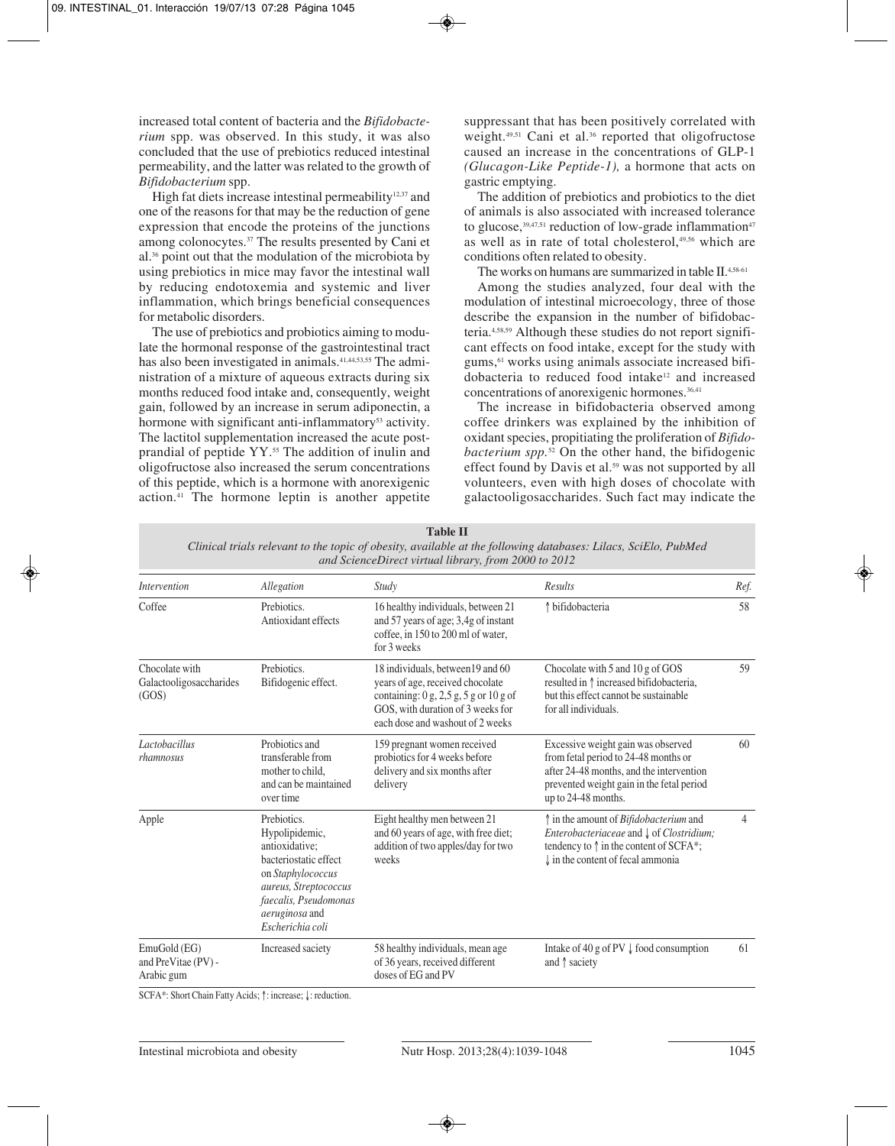increased total content of bacteria and the *Bifidobacterium* spp. was observed. In this study, it was also concluded that the use of prebiotics reduced intestinal permeability, and the latter was related to the growth of *Bifidobacterium* spp.

High fat diets increase intestinal permeability<sup>12,37</sup> and one of the reasons for that may be the reduction of gene expression that encode the proteins of the junctions among colonocytes.37 The results presented by Cani et al.36 point out that the modulation of the microbiota by using prebiotics in mice may favor the intestinal wall by reducing endotoxemia and systemic and liver inflammation, which brings beneficial consequences for metabolic disorders.

The use of prebiotics and probiotics aiming to modulate the hormonal response of the gastrointestinal tract has also been investigated in animals.<sup>41,44,53,55</sup> The administration of a mixture of aqueous extracts during six months reduced food intake and, consequently, weight gain, followed by an increase in serum adiponectin, a hormone with significant anti-inflammatory<sup>53</sup> activity. The lactitol supplementation increased the acute postprandial of peptide YY.55 The addition of inulin and oligofructose also increased the serum concentrations of this peptide, which is a hormone with anorexigenic action.41 The hormone leptin is another appetite

suppressant that has been positively correlated with weight.<sup>49,51</sup> Cani et al.<sup>36</sup> reported that oligofructose caused an increase in the concentrations of GLP-1 *(Glucagon-Like Peptide-1),* a hormone that acts on gastric emptying.

The addition of prebiotics and probiotics to the diet of animals is also associated with increased tolerance to glucose, $39,47,51$  reduction of low-grade inflammation<sup>47</sup> as well as in rate of total cholesterol,<sup>49,56</sup> which are conditions often related to obesity.

The works on humans are summarized in table II.4,58-61

Among the studies analyzed, four deal with the modulation of intestinal microecology, three of those describe the expansion in the number of bifidobacteria.4,58,59 Although these studies do not report significant effects on food intake, except for the study with gums,61 works using animals associate increased bifidobacteria to reduced food intake12 and increased concentrations of anorexigenic hormones.<sup>36,41</sup>

The increase in bifidobacteria observed among coffee drinkers was explained by the inhibition of oxidant species, propitiating the proliferation of *Bifidobacterium spp.*<sup>52</sup> On the other hand, the bifidogenic effect found by Davis et al.<sup>59</sup> was not supported by all volunteers, even with high doses of chocolate with galactooligosaccharides. Such fact may indicate the

| and ScienceDirect virtual library, from 2000 to 2012 |                                                                                                                                                                                              |                                                                                                                                                                                                                               |                                                                                                                                                                                                                        |      |  |  |
|------------------------------------------------------|----------------------------------------------------------------------------------------------------------------------------------------------------------------------------------------------|-------------------------------------------------------------------------------------------------------------------------------------------------------------------------------------------------------------------------------|------------------------------------------------------------------------------------------------------------------------------------------------------------------------------------------------------------------------|------|--|--|
| <i>Intervention</i>                                  | Allegation                                                                                                                                                                                   | Study                                                                                                                                                                                                                         | Results                                                                                                                                                                                                                | Ref. |  |  |
| Coffee                                               | Prebiotics.<br>Antioxidant effects                                                                                                                                                           | 16 healthy individuals, between 21<br>and 57 years of age; 3,4g of instant<br>coffee, in 150 to 200 ml of water,<br>for 3 weeks                                                                                               | ↑ bifidobacteria                                                                                                                                                                                                       | 58   |  |  |
| Chocolate with<br>Galactooligosaccharides<br>(GOS)   | Prebiotics.<br>Bifidogenic effect.                                                                                                                                                           | 18 individuals, between 19 and 60<br>years of age, received chocolate<br>containing: $0 \text{ g}, 2, 5 \text{ g}, 5 \text{ g}$ or $10 \text{ g}$ of<br>GOS, with duration of 3 weeks for<br>each dose and washout of 2 weeks | Chocolate with 5 and 10 g of GOS<br>resulted in $\uparrow$ increased bifidobacteria,<br>but this effect cannot be sustainable<br>for all individuals.                                                                  | 59   |  |  |
| Lactobacillus<br>rhamnosus                           | Probiotics and<br>transferable from<br>mother to child,<br>and can be maintained<br>over time                                                                                                | 159 pregnant women received<br>probiotics for 4 weeks before<br>delivery and six months after<br>delivery                                                                                                                     | Excessive weight gain was observed<br>from fetal period to 24-48 months or<br>after 24-48 months, and the intervention<br>prevented weight gain in the fetal period<br>up to 24-48 months.                             | 60   |  |  |
| Apple                                                | Prebiotics.<br>Hypolipidemic,<br>antioxidative:<br>bacteriostatic effect<br>on Staphylococcus<br>aureus, Streptococcus<br>faecalis, Pseudomonas<br><i>aeruginosa</i> and<br>Escherichia coli | Eight healthy men between 21<br>and 60 years of age, with free diet;<br>addition of two apples/day for two<br>weeks                                                                                                           | ↑ in the amount of <i>Bifidobacterium</i> and<br><i>Enterobacteriaceae</i> and $\downarrow$ of <i>Clostridium</i> ;<br>tendency to $\uparrow$ in the content of SCFA*;<br>$\downarrow$ in the content of fecal ammonia | 4    |  |  |
| EmuGold (EG)<br>and PreVitae (PV) -<br>Arabic gum    | Increased saciety                                                                                                                                                                            | 58 healthy individuals, mean age<br>of 36 years, received different<br>doses of EG and PV                                                                                                                                     | Intake of 40 g of PV $\downarrow$ food consumption<br>and $\uparrow$ saciety                                                                                                                                           | 61   |  |  |

**Table II**

*Clinical trials relevant to the topic of obesity, available at the following databases: Lilacs, SciElo, PubMed*

SCFA\*: Short Chain Fatty Acids; ↑: increase; ↓: reduction.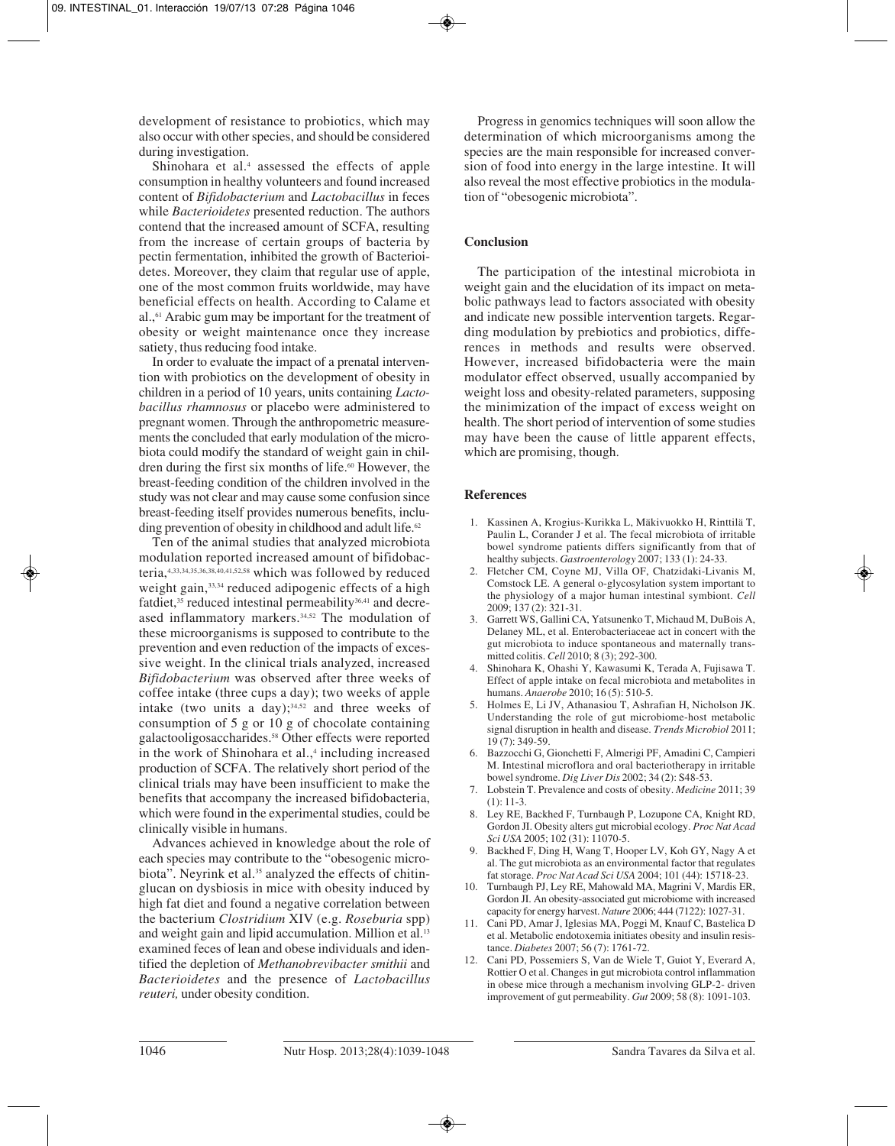development of resistance to probiotics, which may also occur with other species, and should be considered during investigation.

Shinohara et al.<sup>4</sup> assessed the effects of apple consumption in healthy volunteers and found increased content of *Bifidobacterium* and *Lactobacillus* in feces while *Bacterioidetes* presented reduction. The authors contend that the increased amount of SCFA, resulting from the increase of certain groups of bacteria by pectin fermentation, inhibited the growth of Bacterioidetes. Moreover, they claim that regular use of apple, one of the most common fruits worldwide, may have beneficial effects on health. According to Calame et al.,<sup>61</sup> Arabic gum may be important for the treatment of obesity or weight maintenance once they increase satiety, thus reducing food intake.

In order to evaluate the impact of a prenatal intervention with probiotics on the development of obesity in children in a period of 10 years, units containing *Lactobacillus rhamnosus* or placebo were administered to pregnant women. Through the anthropometric measurements the concluded that early modulation of the microbiota could modify the standard of weight gain in children during the first six months of life.<sup>60</sup> However, the breast-feeding condition of the children involved in the study was not clear and may cause some confusion since breast-feeding itself provides numerous benefits, including prevention of obesity in childhood and adult life.<sup>62</sup>

Ten of the animal studies that analyzed microbiota modulation reported increased amount of bifidobacteria,4,33,34,35,36,38,40,41,52,58 which was followed by reduced weight gain, 33,34 reduced adipogenic effects of a high fatdiet,<sup>35</sup> reduced intestinal permeability<sup>36,41</sup> and decreased inflammatory markers.<sup>34,52</sup> The modulation of these microorganisms is supposed to contribute to the prevention and even reduction of the impacts of excessive weight. In the clinical trials analyzed, increased *Bifidobacterium* was observed after three weeks of coffee intake (three cups a day); two weeks of apple intake (two units a day); $34,52$  and three weeks of consumption of 5 g or 10 g of chocolate containing galactooligosaccharides.58 Other effects were reported in the work of Shinohara et al.,<sup>4</sup> including increased production of SCFA. The relatively short period of the clinical trials may have been insufficient to make the benefits that accompany the increased bifidobacteria, which were found in the experimental studies, could be clinically visible in humans.

Advances achieved in knowledge about the role of each species may contribute to the "obesogenic microbiota". Neyrink et al.<sup>35</sup> analyzed the effects of chitinglucan on dysbiosis in mice with obesity induced by high fat diet and found a negative correlation between the bacterium *Clostridium* XIV (e.g. *Roseburia* spp) and weight gain and lipid accumulation. Million et al.<sup>13</sup> examined feces of lean and obese individuals and identified the depletion of *Methanobrevibacter smithii* and *Bacterioidetes* and the presence of *Lactobacillus reuteri,* under obesity condition.

Progress in genomics techniques will soon allow the determination of which microorganisms among the species are the main responsible for increased conversion of food into energy in the large intestine. It will also reveal the most effective probiotics in the modulation of "obesogenic microbiota".

## **Conclusion**

The participation of the intestinal microbiota in weight gain and the elucidation of its impact on metabolic pathways lead to factors associated with obesity and indicate new possible intervention targets. Regarding modulation by prebiotics and probiotics, differences in methods and results were observed. However, increased bifidobacteria were the main modulator effect observed, usually accompanied by weight loss and obesity-related parameters, supposing the minimization of the impact of excess weight on health. The short period of intervention of some studies may have been the cause of little apparent effects, which are promising, though.

## **References**

- 1. Kassinen A, Krogius-Kurikka L, Mäkivuokko H, Rinttilä T, Paulin L, Corander J et al. The fecal microbiota of irritable bowel syndrome patients differs significantly from that of healthy subjects. *Gastroenterology* 2007; 133 (1): 24-33.
- 2. Fletcher CM, Coyne MJ, Villa OF, Chatzidaki-Livanis M, Comstock LE. A general o-glycosylation system important to the physiology of a major human intestinal symbiont. *Cell* 2009; 137 (2): 321-31.
- 3. Garrett WS, Gallini CA, Yatsunenko T, Michaud M, DuBois A, Delaney ML, et al. Enterobacteriaceae act in concert with the gut microbiota to induce spontaneous and maternally transmitted colitis. *Cell* 2010; 8 (3); 292-300.
- 4. Shinohara K, Ohashi Y, Kawasumi K, Terada A, Fujisawa T. Effect of apple intake on fecal microbiota and metabolites in humans. *Anaerobe* 2010; 16 (5): 510-5.
- 5. Holmes E, Li JV, Athanasiou T, Ashrafian H, Nicholson JK. Understanding the role of gut microbiome-host metabolic signal disruption in health and disease. *Trends Microbiol* 2011; 19 (7): 349-59.
- 6. Bazzocchi G, Gionchetti F, Almerigi PF, Amadini C, Campieri M. Intestinal microflora and oral bacteriotherapy in irritable bowel syndrome. *Dig Liver Dis* 2002; 34 (2): S48-53.
- 7. Lobstein T. Prevalence and costs of obesity. *Medicine* 2011; 39 (1): 11-3.
- 8. Ley RE, Backhed F, Turnbaugh P, Lozupone CA, Knight RD, Gordon JI. Obesity alters gut microbial ecology. *Proc Nat Acad Sci USA* 2005; 102 (31): 11070-5.
- 9. Backhed F, Ding H, Wang T, Hooper LV, Koh GY, Nagy A et al. The gut microbiota as an environmental factor that regulates fat storage. *Proc Nat Acad Sci USA* 2004; 101 (44): 15718-23.
- 10. Turnbaugh PJ, Ley RE, Mahowald MA, Magrini V, Mardis ER, Gordon JI. An obesity-associated gut microbiome with increased capacity for energy harvest. *Nature* 2006; 444 (7122): 1027-31.
- 11. Cani PD, Amar J, Iglesias MA, Poggi M, Knauf C, Bastelica D et al. Metabolic endotoxemia initiates obesity and insulin resistance. *Diabetes* 2007; 56 (7): 1761-72.
- 12. Cani PD, Possemiers S, Van de Wiele T, Guiot Y, Everard A, Rottier O et al. Changes in gut microbiota control inflammation in obese mice through a mechanism involving GLP-2- driven improvement of gut permeability. *Gut* 2009; 58 (8): 1091-103.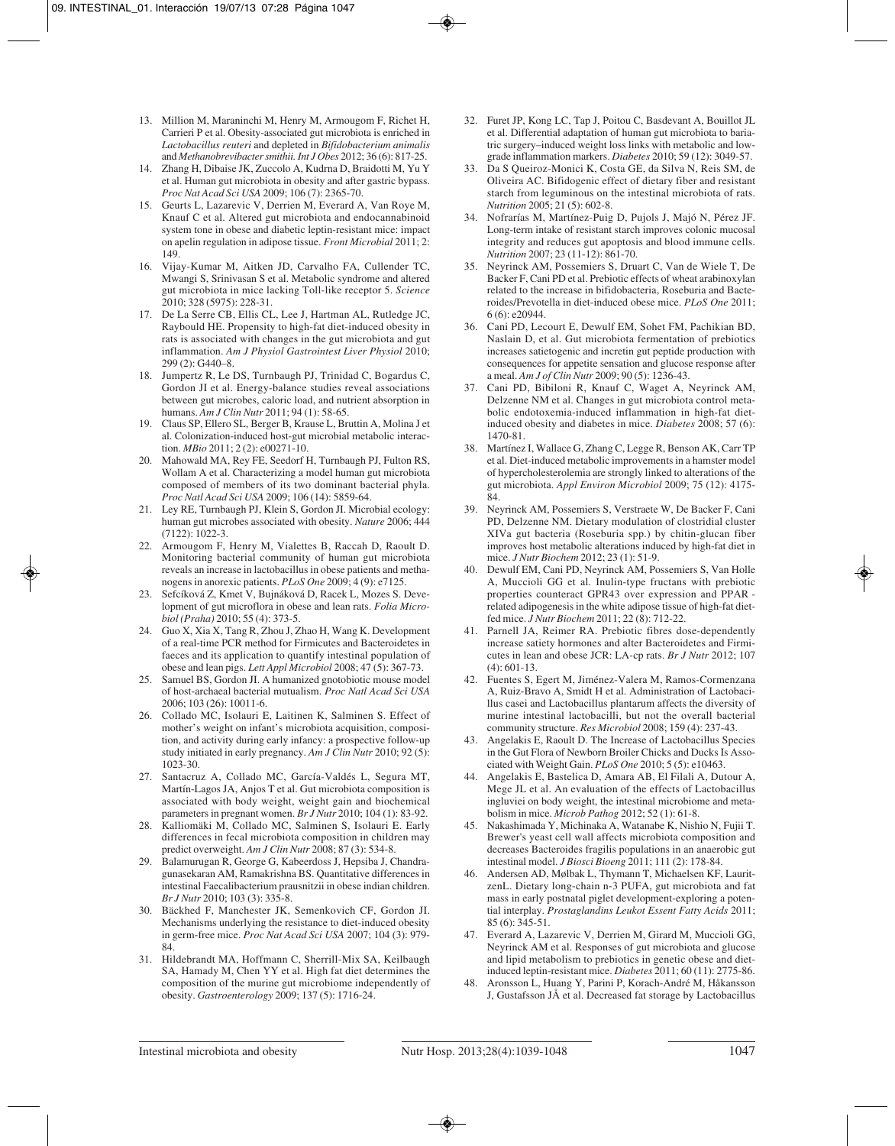- 13. Million M, Maraninchi M, Henry M, Armougom F, Richet H, Carrieri P et al. Obesity-associated gut microbiota is enriched in *Lactobacillus reuteri* and depleted in *Bifidobacterium animalis* and *Methanobrevibacter smithii. Int J Obes* 2012; 36 (6): 817-25.
- 14. Zhang H, Dibaise JK, Zuccolo A, Kudrna D, Braidotti M, Yu Y et al. Human gut microbiota in obesity and after gastric bypass. *Proc Nat Acad Sci USA* 2009; 106 (7): 2365-70.
- 15. Geurts L, Lazarevic V, Derrien M, Everard A, Van Roye M, Knauf C et al. Altered gut microbiota and endocannabinoid system tone in obese and diabetic leptin-resistant mice: impact on apelin regulation in adipose tissue. *Front Microbial* 2011; 2: 149.
- 16. Vijay-Kumar M, Aitken JD, Carvalho FA, Cullender TC, Mwangi S, Srinivasan S et al. Metabolic syndrome and altered gut microbiota in mice lacking Toll-like receptor 5. *Science* 2010; 328 (5975): 228-31.
- 17. De La Serre CB, Ellis CL, Lee J, Hartman AL, Rutledge JC, Raybould HE. Propensity to high-fat diet-induced obesity in rats is associated with changes in the gut microbiota and gut inflammation. *Am J Physiol Gastrointest Liver Physiol* 2010; 299 (2): G440–8.
- 18. Jumpertz R, Le DS, Turnbaugh PJ, Trinidad C, Bogardus C, Gordon JI et al. Energy-balance studies reveal associations between gut microbes, caloric load, and nutrient absorption in humans. *Am J Clin Nutr* 2011; 94 (1): 58-65.
- 19. Claus SP, Ellero SL, Berger B, Krause L, Bruttin A, Molina J et al. Colonization-induced host-gut microbial metabolic interaction. *MBio* 2011; 2 (2): e00271-10.
- 20. Mahowald MA, Rey FE, Seedorf H, Turnbaugh PJ, Fulton RS, Wollam A et al. Characterizing a model human gut microbiota composed of members of its two dominant bacterial phyla. *Proc Natl Acad Sci USA* 2009; 106 (14): 5859-64.
- 21. Ley RE, Turnbaugh PJ, Klein S, Gordon JI. Microbial ecology: human gut microbes associated with obesity. *Nature* 2006; 444 (7122): 1022-3.
- 22. Armougom F, Henry M, Vialettes B, Raccah D, Raoult D. Monitoring bacterial community of human gut microbiota reveals an increase in lactobacillus in obese patients and methanogens in anorexic patients. *PLoS One* 2009; 4 (9): e7125.
- 23. Sefcíková Z, Kmet V, Bujnáková D, Racek L, Mozes S. Development of gut microflora in obese and lean rats. *Folia Microbiol (Praha)* 2010; 55 (4): 373-5.
- 24. Guo X, Xia X, Tang R, Zhou J, Zhao H, Wang K. Development of a real-time PCR method for Firmicutes and Bacteroidetes in faeces and its application to quantify intestinal population of obese and lean pigs. *Lett Appl Microbiol* 2008; 47 (5): 367-73.
- 25. Samuel BS, Gordon JI. A humanized gnotobiotic mouse model of host-archaeal bacterial mutualism. *Proc Natl Acad Sci USA* 2006; 103 (26): 10011-6.
- 26. Collado MC, Isolauri E, Laitinen K, Salminen S. Effect of mother's weight on infant's microbiota acquisition, composition, and activity during early infancy: a prospective follow-up study initiated in early pregnancy. *Am J Clin Nutr* 2010; 92 (5): 1023-30.
- 27. Santacruz A, Collado MC, García-Valdés L, Segura MT, Martín-Lagos JA, Anjos T et al. Gut microbiota composition is associated with body weight, weight gain and biochemical parameters in pregnant women. *Br J Nutr* 2010; 104 (1): 83-92.
- 28. Kalliomäki M, Collado MC, Salminen S, Isolauri E. Early differences in fecal microbiota composition in children may predict overweight. *Am J Clin Nutr* 2008; 87 (3): 534-8.
- 29. Balamurugan R, George G, Kabeerdoss J, Hepsiba J, Chandragunasekaran AM, Ramakrishna BS. Quantitative differences in intestinal Faecalibacterium prausnitzii in obese indian children. *Br J Nutr* 2010; 103 (3): 335-8.
- 30. Bäckhed F, Manchester JK, Semenkovich CF, Gordon JI. Mechanisms underlying the resistance to diet-induced obesity in germ-free mice. *Proc Nat Acad Sci USA* 2007; 104 (3): 979- 84.
- 31. Hildebrandt MA, Hoffmann C, Sherrill-Mix SA, Keilbaugh SA, Hamady M, Chen YY et al. High fat diet determines the composition of the murine gut microbiome independently of obesity. *Gastroenterology* 2009; 137 (5): 1716-24.
- 32. Furet JP, Kong LC, Tap J, Poitou C, Basdevant A, Bouillot JL et al. Differential adaptation of human gut microbiota to bariatric surgery–induced weight loss links with metabolic and lowgrade inflammation markers. *Diabetes* 2010; 59 (12): 3049-57.
- 33. Da S Queiroz-Monici K, Costa GE, da Silva N, Reis SM, de Oliveira AC. Bifidogenic effect of dietary fiber and resistant starch from leguminous on the intestinal microbiota of rats. *Nutrition* 2005; 21 (5): 602-8.
- 34. Nofrarías M, Martínez-Puig D, Pujols J, Majó N, Pérez JF. Long-term intake of resistant starch improves colonic mucosal integrity and reduces gut apoptosis and blood immune cells. *Nutrition* 2007; 23 (11-12): 861-70.
- 35. Neyrinck AM, Possemiers S, Druart C, Van de Wiele T, De Backer F, Cani PD et al. Prebiotic effects of wheat arabinoxylan related to the increase in bifidobacteria, Roseburia and Bacteroides/Prevotella in diet-induced obese mice. *PLoS One* 2011; 6 (6): e20944.
- 36. Cani PD, Lecourt E, Dewulf EM, Sohet FM, Pachikian BD, Naslain D, et al. Gut microbiota fermentation of prebiotics increases satietogenic and incretin gut peptide production with consequences for appetite sensation and glucose response after a meal. *Am J of Clin Nutr* 2009; 90 (5): 1236-43.
- 37. Cani PD, Bibiloni R, Knauf C, Waget A, Neyrinck AM, Delzenne NM et al. Changes in gut microbiota control metabolic endotoxemia-induced inflammation in high-fat dietinduced obesity and diabetes in mice. *Diabetes* 2008; 57 (6): 1470-81.
- 38. Martínez I, Wallace G, Zhang C, Legge R, Benson AK, Carr TP et al. Diet-induced metabolic improvements in a hamster model of hypercholesterolemia are strongly linked to alterations of the gut microbiota. *Appl Environ Microbiol* 2009; 75 (12): 4175- 84.
- 39. Neyrinck AM, Possemiers S, Verstraete W, De Backer F, Cani PD, Delzenne NM. Dietary modulation of clostridial cluster XIVa gut bacteria (Roseburia spp.) by chitin-glucan fiber improves host metabolic alterations induced by high-fat diet in mice. *J Nutr Biochem* 2012; 23 (1): 51-9.
- 40. Dewulf EM, Cani PD, Neyrinck AM, Possemiers S, Van Holle A, Muccioli GG et al. Inulin-type fructans with prebiotic properties counteract GPR43 over expression and PPAR related adipogenesis in the white adipose tissue of high-fat dietfed mice. *J Nutr Biochem* 2011; 22 (8): 712-22.
- 41. Parnell JA, Reimer RA. Prebiotic fibres dose-dependently increase satiety hormones and alter Bacteroidetes and Firmicutes in lean and obese JCR: LA-cp rats. *Br J Nutr* 2012; 107 (4): 601-13.
- 42. Fuentes S, Egert M, Jiménez-Valera M, Ramos-Cormenzana A, Ruiz-Bravo A, Smidt H et al. Administration of Lactobacillus casei and Lactobacillus plantarum affects the diversity of murine intestinal lactobacilli, but not the overall bacterial community structure. *Res Microbiol* 2008; 159 (4): 237-43.
- 43. Angelakis E, Raoult D. The Increase of Lactobacillus Species in the Gut Flora of Newborn Broiler Chicks and Ducks Is Associated with Weight Gain. *PLoS One* 2010; 5 (5): e10463.
- 44. Angelakis E, Bastelica D, Amara AB, El Filali A, Dutour A, Mege JL et al. An evaluation of the effects of Lactobacillus ingluviei on body weight, the intestinal microbiome and metabolism in mice. *Microb Pathog* 2012; 52 (1): 61-8.
- 45. Nakashimada Y, Michinaka A, Watanabe K, Nishio N, Fujii T. Brewer's yeast cell wall affects microbiota composition and decreases Bacteroides fragilis populations in an anaerobic gut intestinal model. *J Biosci Bioeng* 2011; 111 (2): 178-84.
- 46. Andersen AD, Mølbak L, Thymann T, Michaelsen KF, LauritzenL. Dietary long-chain n-3 PUFA, gut microbiota and fat mass in early postnatal piglet development-exploring a potential interplay. *Prostaglandins Leukot Essent Fatty Acids* 2011; 85 (6): 345-51.
- 47. Everard A, Lazarevic V, Derrien M, Girard M, Muccioli GG, Neyrinck AM et al. Responses of gut microbiota and glucose and lipid metabolism to prebiotics in genetic obese and dietinduced leptin-resistant mice. *Diabetes* 2011; 60 (11): 2775-86.
- 48. Aronsson L, Huang Y, Parini P, Korach-André M, Håkansson J, Gustafsson JÅ et al. Decreased fat storage by Lactobacillus